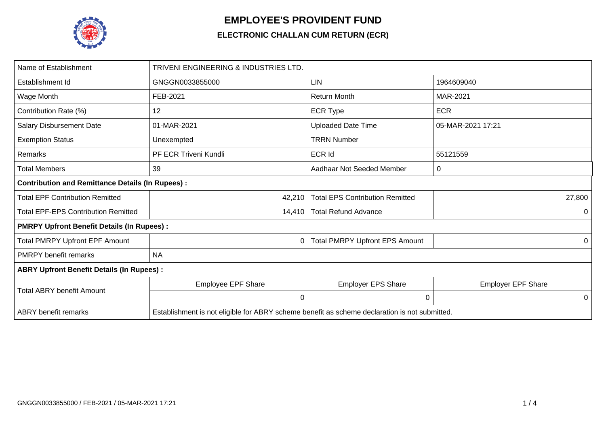

## **EMPLOYEE'S PROVIDENT FUND**

## **ELECTRONIC CHALLAN CUM RETURN (ECR)**

| Name of Establishment                                   | TRIVENI ENGINEERING & INDUSTRIES LTD.                                                         |                                        |                           |  |  |  |  |  |  |  |
|---------------------------------------------------------|-----------------------------------------------------------------------------------------------|----------------------------------------|---------------------------|--|--|--|--|--|--|--|
| Establishment Id                                        | GNGGN0033855000                                                                               | <b>LIN</b>                             | 1964609040                |  |  |  |  |  |  |  |
| Wage Month                                              | FEB-2021                                                                                      | <b>Return Month</b>                    | MAR-2021                  |  |  |  |  |  |  |  |
| Contribution Rate (%)                                   | 12                                                                                            | <b>ECR Type</b>                        | <b>ECR</b>                |  |  |  |  |  |  |  |
| Salary Disbursement Date                                | 01-MAR-2021                                                                                   | <b>Uploaded Date Time</b>              | 05-MAR-2021 17:21         |  |  |  |  |  |  |  |
| <b>Exemption Status</b>                                 | Unexempted                                                                                    | <b>TRRN Number</b>                     |                           |  |  |  |  |  |  |  |
| Remarks                                                 | PF ECR Triveni Kundli                                                                         | ECR Id                                 | 55121559                  |  |  |  |  |  |  |  |
| <b>Total Members</b>                                    | 39                                                                                            | Aadhaar Not Seeded Member              | 0                         |  |  |  |  |  |  |  |
| <b>Contribution and Remittance Details (In Rupees):</b> |                                                                                               |                                        |                           |  |  |  |  |  |  |  |
| <b>Total EPF Contribution Remitted</b>                  | 42,210                                                                                        | <b>Total EPS Contribution Remitted</b> | 27,800                    |  |  |  |  |  |  |  |
| <b>Total EPF-EPS Contribution Remitted</b>              | 14,410                                                                                        | <b>Total Refund Advance</b>            | 0                         |  |  |  |  |  |  |  |
| <b>PMRPY Upfront Benefit Details (In Rupees):</b>       |                                                                                               |                                        |                           |  |  |  |  |  |  |  |
| <b>Total PMRPY Upfront EPF Amount</b>                   | 0                                                                                             | <b>Total PMRPY Upfront EPS Amount</b>  | 0                         |  |  |  |  |  |  |  |
| <b>PMRPY benefit remarks</b>                            | <b>NA</b>                                                                                     |                                        |                           |  |  |  |  |  |  |  |
| <b>ABRY Upfront Benefit Details (In Rupees):</b>        |                                                                                               |                                        |                           |  |  |  |  |  |  |  |
| <b>Total ABRY benefit Amount</b>                        | <b>Employee EPF Share</b>                                                                     | <b>Employer EPS Share</b>              | <b>Employer EPF Share</b> |  |  |  |  |  |  |  |
|                                                         | $\mathbf 0$                                                                                   | 0                                      | 0                         |  |  |  |  |  |  |  |
| <b>ABRY</b> benefit remarks                             | Establishment is not eligible for ABRY scheme benefit as scheme declaration is not submitted. |                                        |                           |  |  |  |  |  |  |  |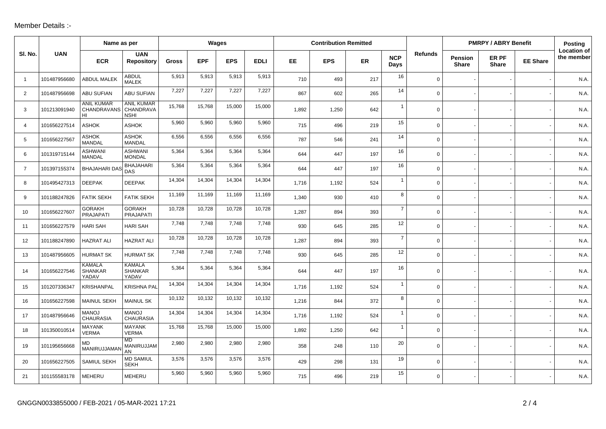## Member Details :-

|                |              | Name as per                                   |                                               | Wages  |            |            |             | <b>Contribution Remitted</b> |            |     |                    |                | <b>PMRPY / ABRY Benefit</b> | Posting               |                 |                                  |
|----------------|--------------|-----------------------------------------------|-----------------------------------------------|--------|------------|------------|-------------|------------------------------|------------|-----|--------------------|----------------|-----------------------------|-----------------------|-----------------|----------------------------------|
| SI. No.        | <b>UAN</b>   | <b>ECR</b>                                    | <b>UAN</b><br><b>Repository</b>               | Gross  | <b>EPF</b> | <b>EPS</b> | <b>EDLI</b> | EE.                          | <b>EPS</b> | ER  | <b>NCP</b><br>Days | <b>Refunds</b> | Pension<br><b>Share</b>     | ER PF<br><b>Share</b> | <b>EE Share</b> | <b>Location of</b><br>the member |
| $\overline{1}$ | 101487956680 | <b>ABDUL MALEK</b>                            | <b>ABDUL</b><br><b>MALEK</b>                  | 5,913  | 5,913      | 5,913      | 5,913       | 710                          | 493        | 217 | 16                 | $\mathbf 0$    |                             |                       |                 | N.A.                             |
| 2              | 101487956698 | <b>ABU SUFIAN</b>                             | ABU SUFIAN                                    | 7,227  | 7,227      | 7,227      | 7,227       | 867                          | 602        | 265 | 14                 | $\mathbf 0$    |                             |                       |                 | N.A.                             |
| 3              | 101213091940 | <b>ANIL KUMAR</b><br><b>CHANDRAVANS</b><br>HI | <b>ANIL KUMAR</b><br>CHANDRAVA<br><b>NSHI</b> | 15,768 | 15,768     | 15,000     | 15,000      | 1,892                        | 1,250      | 642 | $\overline{1}$     | $\mathbf 0$    |                             |                       |                 | N.A.                             |
| $\overline{4}$ | 101656227514 | <b>ASHOK</b>                                  | <b>ASHOK</b>                                  | 5,960  | 5,960      | 5,960      | 5,960       | 715                          | 496        | 219 | 15                 | $\mathbf 0$    |                             |                       |                 | N.A.                             |
| 5              | 101656227567 | <b>ASHOK</b><br><b>MANDAL</b>                 | <b>ASHOK</b><br><b>MANDAL</b>                 | 6,556  | 6,556      | 6,556      | 6,556       | 787                          | 546        | 241 | 14                 | $\mathbf 0$    |                             |                       |                 | N.A.                             |
| 6              | 101319715144 | ASHWANI<br><b>MANDAL</b>                      | <b>ASHWANI</b><br><b>MONDAL</b>               | 5,364  | 5,364      | 5,364      | 5,364       | 644                          | 447        | 197 | 16                 | $\mathbf 0$    |                             |                       |                 | N.A.                             |
| $\overline{7}$ | 101397155374 | <b>BHAJAHARI DAS</b>                          | <b>BHAJAHARI</b><br>DAS                       | 5,364  | 5,364      | 5,364      | 5,364       | 644                          | 447        | 197 | 16                 | $\mathbf 0$    |                             |                       |                 | N.A.                             |
| 8              | 101495427313 | <b>DEEPAK</b>                                 | <b>DEEPAK</b>                                 | 14,304 | 14,304     | 14,304     | 14,304      | 1,716                        | 1,192      | 524 | $\mathbf{1}$       | $\mathbf 0$    |                             |                       |                 | N.A.                             |
| 9              | 101188247826 | <b>FATIK SEKH</b>                             | <b>FATIK SEKH</b>                             | 11,169 | 11,169     | 11,169     | 11,169      | 1,340                        | 930        | 410 | 8                  | $\mathbf 0$    |                             |                       |                 | N.A.                             |
| 10             | 101656227607 | <b>GORAKH</b><br>PRAJAPATI                    | <b>GORAKH</b><br>PRAJAPATI                    | 10,728 | 10,728     | 10,728     | 10,728      | 1,287                        | 894        | 393 | $\overline{7}$     | $\mathbf 0$    |                             |                       |                 | N.A.                             |
| 11             | 101656227579 | <b>HARI SAH</b>                               | <b>HARI SAH</b>                               | 7,748  | 7,748      | 7,748      | 7,748       | 930                          | 645        | 285 | 12                 | $\mathbf 0$    |                             |                       |                 | N.A.                             |
| 12             | 101188247890 | <b>HAZRAT ALI</b>                             | <b>HAZRAT ALI</b>                             | 10,728 | 10,728     | 10,728     | 10,728      | 1,287                        | 894        | 393 | $\overline{7}$     | $\mathbf 0$    |                             |                       |                 | N.A.                             |
| 13             | 101487956605 | <b>HURMAT SK</b>                              | <b>HURMAT SK</b>                              | 7,748  | 7,748      | 7,748      | 7,748       | 930                          | 645        | 285 | 12                 | $\mathbf 0$    |                             |                       |                 | N.A.                             |
| 14             | 101656227546 | <b>KAMALA</b><br><b>SHANKAR</b><br>YADAV      | <b>KAMALA</b><br><b>SHANKAR</b><br>YADAV      | 5,364  | 5,364      | 5,364      | 5,364       | 644                          | 447        | 197 | 16                 | $\mathbf 0$    |                             |                       |                 | N.A.                             |
| 15             | 101207336347 | <b>KRISHANPAL</b>                             | <b>KRISHNA PAL</b>                            | 14,304 | 14,304     | 14,304     | 14,304      | 1.716                        | 1,192      | 524 | $\mathbf{1}$       | $\mathbf 0$    |                             |                       |                 | N.A.                             |
| 16             | 101656227598 | <b>MAINUL SEKH</b>                            | <b>MAINUL SK</b>                              | 10,132 | 10,132     | 10,132     | 10,132      | 1,216                        | 844        | 372 | 8                  | $\mathsf{O}$   |                             |                       |                 | N.A.                             |
| 17             | 101487956646 | <b>MANOJ</b><br><b>CHAURASIA</b>              | <b>MANOJ</b><br><b>CHAURASIA</b>              | 14,304 | 14,304     | 14,304     | 14,304      | 1,716                        | 1,192      | 524 | $\mathbf{1}$       | $\mathsf{O}$   |                             |                       |                 | N.A.                             |
| 18             | 101350010514 | <b>MAYANK</b><br><b>VERMA</b>                 | <b>MAYANK</b><br><b>VERMA</b>                 | 15,768 | 15,768     | 15,000     | 15,000      | 1,892                        | 1,250      | 642 | $\overline{1}$     | $\mathbf 0$    |                             |                       |                 | N.A.                             |
| 19             | 101195656668 | MD<br>MANIRUJJAMA                             | <b>MD</b><br>MANIRUJJAM<br>AN                 | 2,980  | 2,980      | 2,980      | 2,980       | 358                          | 248        | 110 | 20                 | $\mathsf{O}$   |                             |                       |                 | N.A.                             |
| 20             | 101656227505 | SAMIUL SEKH                                   | <b>MD SAMIUL</b><br><b>SEKH</b>               | 3,576  | 3,576      | 3,576      | 3,576       | 429                          | 298        | 131 | 19                 | 0              |                             |                       |                 | N.A.                             |
| 21             | 101155583178 | <b>MEHERU</b>                                 | <b>MEHERU</b>                                 | 5,960  | 5,960      | 5,960      | 5,960       | 715                          | 496        | 219 | 15                 | $\mathbf 0$    |                             |                       |                 | N.A.                             |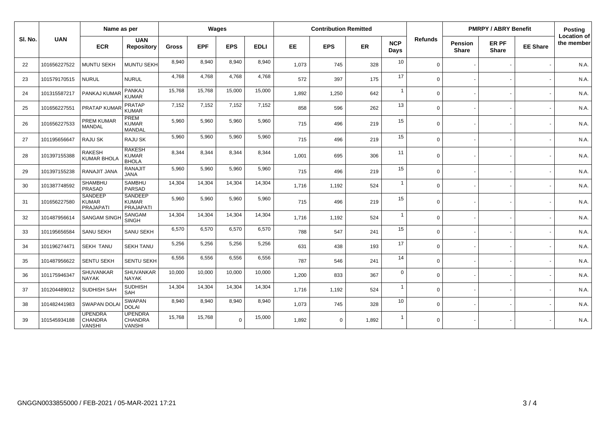|         |              |                                                   | Name as per                                   |              | Wages      |            |             | <b>Contribution Remitted</b> |             |       |                    |          | <b>PMRPY / ABRY Benefit</b>    |                       |                 | Posting                   |
|---------|--------------|---------------------------------------------------|-----------------------------------------------|--------------|------------|------------|-------------|------------------------------|-------------|-------|--------------------|----------|--------------------------------|-----------------------|-----------------|---------------------------|
| SI. No. | <b>UAN</b>   | <b>ECR</b>                                        | <b>UAN</b><br><b>Repository</b>               | <b>Gross</b> | <b>EPF</b> | <b>EPS</b> | <b>EDLI</b> | <b>EE</b>                    | <b>EPS</b>  | ER    | <b>NCP</b><br>Days | Refunds  | <b>Pension</b><br><b>Share</b> | ER PF<br><b>Share</b> | <b>EE Share</b> | Location of<br>the member |
| 22      | 101656227522 | <b>MUNTU SEKH</b>                                 | MUNTU SEKH                                    | 8.940        | 8.940      | 8,940      | 8,940       | 1,073                        | 745         | 328   | 10                 | $\Omega$ |                                |                       |                 | N.A.                      |
| 23      | 101579170515 | <b>NURUL</b>                                      | <b>NURUL</b>                                  | 4,768        | 4,768      | 4,768      | 4,768       | 572                          | 397         | 175   | 17                 | $\Omega$ |                                |                       |                 | N.A.                      |
| 24      | 101315587217 | PANKAJ KUMAR                                      | <b>PANKAJ</b><br><b>KUMAR</b>                 | 15,768       | 15,768     | 15,000     | 15,000      | 1,892                        | 1,250       | 642   | $\overline{1}$     | $\Omega$ |                                |                       |                 | N.A.                      |
| 25      | 101656227551 | PRATAP KUMAR                                      | <b>PRATAP</b><br><b>KUMAR</b>                 | 7,152        | 7,152      | 7,152      | 7,152       | 858                          | 596         | 262   | 13                 | $\Omega$ |                                |                       |                 | N.A.                      |
| 26      | 101656227533 | <b>PREM KUMAR</b><br><b>MANDAL</b>                | PREM<br><b>KUMAR</b><br><b>MANDAL</b>         | 5,960        | 5,960      | 5,960      | 5,960       | 715                          | 496         | 219   | 15                 | $\Omega$ |                                |                       |                 | N.A.                      |
| 27      | 101195656647 | RAJU SK                                           | <b>RAJU SK</b>                                | 5,960        | 5,960      | 5,960      | 5,960       | 715                          | 496         | 219   | 15                 | $\Omega$ |                                |                       |                 | N.A.                      |
| 28      | 101397155388 | <b>RAKESH</b><br><b>KUMAR BHOLA</b>               | <b>RAKESH</b><br><b>KUMAR</b><br><b>BHOLA</b> | 8,344        | 8,344      | 8,344      | 8,344       | 1.001                        | 695         | 306   | 11                 | $\Omega$ |                                |                       |                 | N.A.                      |
| 29      | 101397155238 | RANAJIT JANA                                      | <b>RANAJIT</b><br><b>JANA</b>                 | 5,960        | 5,960      | 5,960      | 5,960       | 715                          | 496         | 219   | 15                 | $\Omega$ |                                |                       |                 | N.A.                      |
| 30      | 101387748592 | SHAMBHU<br>PRASAD                                 | <b>SAMBHU</b><br><b>PARSAD</b>                | 14,304       | 14,304     | 14,304     | 14,304      | 1,716                        | 1,192       | 524   | $\overline{1}$     | $\Omega$ |                                |                       |                 | N.A.                      |
| 31      | 101656227580 | <b>SANDEEP</b><br><b>KUMAR</b><br>PRAJAPATI       | <b>SANDEEP</b><br><b>KUMAR</b><br>PRAJAPATI   | 5,960        | 5,960      | 5,960      | 5,960       | 715                          | 496         | 219   | 15                 | $\Omega$ |                                |                       |                 | N.A.                      |
| 32      | 101487956614 | <b>SANGAM SING</b>                                | SANGAM<br><b>SINGH</b>                        | 14.304       | 14,304     | 14,304     | 14,304      | 1,716                        | 1,192       | 524   | $\overline{1}$     | $\Omega$ |                                |                       |                 | N.A.                      |
| 33      | 101195656584 | <b>SANU SEKH</b>                                  | SANU SEKH                                     | 6,570        | 6,570      | 6,570      | 6,570       | 788                          | 547         | 241   | 15                 | $\Omega$ |                                |                       |                 | N.A.                      |
| 34      | 101196274471 | <b>SEKH TANU</b>                                  | <b>SEKH TANU</b>                              | 5,256        | 5,256      | 5,256      | 5,256       | 631                          | 438         | 193   | 17                 | $\Omega$ |                                |                       |                 | N.A.                      |
| 35      | 101487956622 | <b>SENTU SEKH</b>                                 | <b>SENTU SEKH</b>                             | 6,556        | 6,556      | 6,556      | 6,556       | 787                          | 546         | 241   | 14                 | $\Omega$ |                                |                       |                 | N.A.                      |
| 36      | 101175946347 | <b>SHUVANKAR</b><br><b>NAYAK</b>                  | SHUVANKAR<br><b>NAYAK</b>                     | 10,000       | 10,000     | 10,000     | 10,000      | 1,200                        | 833         | 367   | $\mathbf 0$        | $\Omega$ |                                |                       |                 | N.A.                      |
| 37      | 101204489012 | <b>SUDHISH SAH</b>                                | <b>SUDHISH</b><br>SAH                         | 14,304       | 14,304     | 14,304     | 14,304      | 1.716                        | 1,192       | 524   | $\overline{1}$     | $\Omega$ |                                |                       |                 | N.A.                      |
| 38      | 101482441983 | <b>SWAPAN DOLA</b>                                | SWAPAN<br><b>DOLAI</b>                        | 8,940        | 8.940      | 8,940      | 8,940       | 1,073                        | 745         | 328   | 10                 | $\Omega$ |                                |                       |                 | N.A.                      |
| 39      | 101545934188 | <b>UPENDRA</b><br><b>CHANDRA</b><br><b>VANSHI</b> | <b>UPENDRA</b><br>CHANDRA<br><b>VANSHI</b>    | 15,768       | 15,768     | $\Omega$   | 15,000      | 1,892                        | $\mathbf 0$ | 1,892 | $\overline{1}$     | $\Omega$ |                                |                       |                 | N.A.                      |